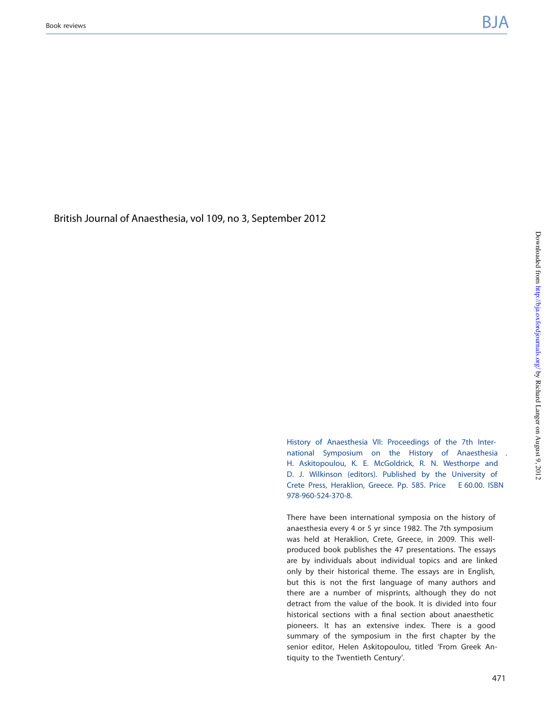Briti[sh Journal of Anaesthesia](mailto:<!-- </article> --></sub-article><!-- <AuthorQueries><aq id=), [vol 109, no 3, Sep](mailto:<!-- </article> --></sub-article><!-- <AuthorQueries><aq id=)tember 2012

History of Anaesthesia VII: Proceedings of the 7th International Symposium on the History of Anaesthesia H. Askitopoulou, K. E. McGoldrick, R. N. Westhorpe and D. J. Wilkinson (editors). Published by the University of Crete Press, Heraklion, Greece. Pp. 585. Price E 60.00. ISBN 978-960-524-370-8.

There have been international symposia on the history of anaesthesia every 4 or 5 yr since 1982. The 7th symposium was held at Heraklion, Crete, Greece, in 2009. This wellproduced book publishes the 47 presentations. The essays are by individuals about individual topics and are linked only by their historical theme. The essays are in English, but this is not the first language of many authors and there are a number of misprints, although they do not detract from the value of the book. It is divided into four historical sections with a final section about anaesthetic pioneers. It has an extensive index. There is a good summary of the symposium in the first chapter by the senior editor, Helen Askitopoulou, titled 'From Greek Antiquity to the Twentieth Century'.